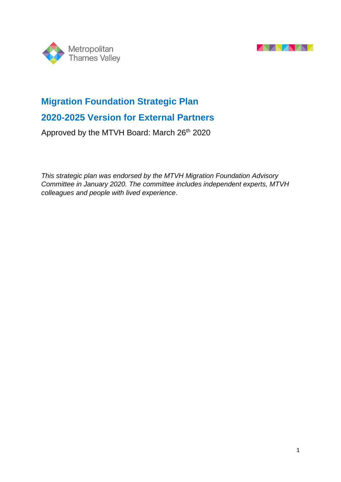



# **Migration Foundation Strategic Plan**

## **2020-2025 Version for External Partners**

Approved by the MTVH Board: March 26<sup>th</sup> 2020

*This strategic plan was endorsed by the MTVH Migration Foundation Advisory Committee in January 2020. The committee includes independent experts, MTVH colleagues and people with lived experience*.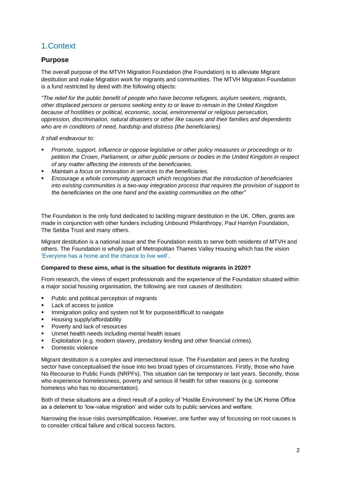## 1.Context

### **Purpose**

The overall purpose of the MTVH Migration Foundation (the Foundation) is to alleviate Migrant destitution and make Migration work for migrants and communities. The MTVH Migration Foundation is a fund restricted by deed with the following objects:

*"The relief for the public benefit of people who have become refugees, asylum seekers, migrants, other displaced persons or persons seeking entry to or leave to remain in the United Kingdom because of hostilities or political, economic, social, environmental or religious persecution, oppression, discrimination, natural disasters or other like causes and their families and dependents who are in conditions of need, hardship and distress (the beneficiaries)* 

*It shall endeavour to:* 

- *Promote, support, influence or oppose legislative or other policy measures or proceedings or to petition the Crown, Parliament, or other public persons or bodies in the United Kingdom in respect of any matter affecting the interests of the beneficiaries.*
- *Maintain a focus on innovation in services to the beneficiaries.*
- *Encourage a whole community approach which recognises that the introduction of beneficiaries into existing communities is a two-way integration process that requires the provision of support to the beneficiaries on the one hand and the existing communities on the other"*

The Foundation is the only fund dedicated to tackling migrant destitution in the UK. Often, grants are made in conjunction with other funders including Unbound Philanthropy, Paul Hamlyn Foundation, The Sebba Trust and many others.

Migrant destitution is a national issue and the Foundation exists to serve both residents of MTVH and others. The Foundation is wholly part of Metropolitan Thames Valley Housing which has the vision 'Everyone has a home and the chance to live well'.

#### **Compared to these aims, what is the situation for destitute migrants in 2020?**

From research, the views of expert professionals and the experience of the Foundation situated within a major social housing organisation, the following are root causes of destitution:

- Public and political perception of migrants
- Lack of access to justice
- **·** Immigration policy and system not fit for purpose/difficult to navigate
- Housing supply/affordability
- Poverty and lack of resources
- Unmet health needs including mental health issues
- Exploitation (e.g. modern slavery, predatory lending and other financial crimes).
- Domestic violence

Migrant destitution is a complex and intersectional issue. The Foundation and peers in the funding sector have conceptualised the issue into two broad types of circumstances. Firstly, those who have No Recourse to Public Funds (NRPFs). This situation can be temporary or last years. Secondly, those who experience homelessness, poverty and serious ill health for other reasons (e.g. someone homeless who has no documentation).

Both of these situations are a direct result of a policy of 'Hostile Environment' by the UK Home Office as a deterrent to 'low-value migration' and wider cuts to public services and welfare.

Narrowing the issue risks oversimplification. However, one further way of focussing on root causes is to consider critical failure and critical success factors.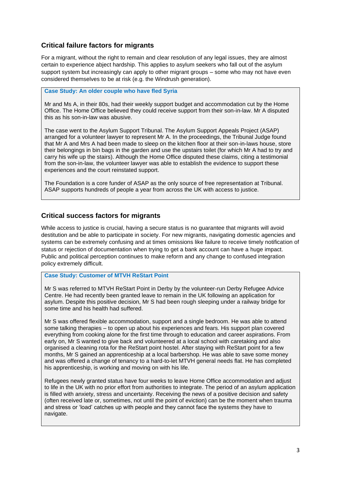### **Critical failure factors for migrants**

For a migrant, without the right to remain and clear resolution of any legal issues, they are almost certain to experience abject hardship. This applies to asylum seekers who fall out of the asylum support system but increasingly can apply to other migrant groups – some who may not have even considered themselves to be at risk (e.g. the Windrush generation).

**Case Study: An older couple who have fled Syria** 

Mr and Ms A, in their 80s, had their weekly support budget and accommodation cut by the Home Office. The Home Office believed they could receive support from their son-in-law. Mr A disputed this as his son-in-law was abusive.

The case went to the Asylum Support Tribunal. The Asylum Support Appeals Project (ASAP) arranged for a volunteer lawyer to represent Mr A. In the proceedings, the Tribunal Judge found that Mr A and Mrs A had been made to sleep on the kitchen floor at their son-in-laws house, store their belongings in bin bags in the garden and use the upstairs toilet (for which Mr A had to try and carry his wife up the stairs). Although the Home Office disputed these claims, citing a testimonial from the son-in-law, the volunteer lawyer was able to establish the evidence to support these experiences and the court reinstated support.

The Foundation is a core funder of ASAP as the only source of free representation at Tribunal. ASAP supports hundreds of people a year from across the UK with access to justice.

### **Critical success factors for migrants**

While access to justice is crucial, having a secure status is no guarantee that migrants will avoid destitution and be able to participate in society. For new migrants, navigating domestic agencies and systems can be extremely confusing and at times omissions like failure to receive timely notification of status or rejection of documentation when trying to get a bank account can have a huge impact. Public and political perception continues to make reform and any change to confused integration policy extremely difficult.

#### **Case Study: Customer of MTVH ReStart Point**

Mr S was referred to MTVH ReStart Point in Derby by the volunteer-run Derby Refugee Advice Centre. He had recently been granted leave to remain in the UK following an application for asylum. Despite this positive decision, Mr S had been rough sleeping under a railway bridge for some time and his health had suffered.

Mr S was offered flexible accommodation, support and a single bedroom. He was able to attend some talking therapies – to open up about his experiences and fears. His support plan covered everything from cooking alone for the first time through to education and career aspirations. From early on, Mr S wanted to give back and volunteered at a local school with caretaking and also organised a cleaning rota for the ReStart point hostel. After staying with ReStart point for a few months, Mr S gained an apprenticeship at a local barbershop. He was able to save some money and was offered a change of tenancy to a hard-to-let MTVH general needs flat. He has completed his apprenticeship, is working and moving on with his life.

Refugees newly granted status have four weeks to leave Home Office accommodation and adjust to life in the UK with no prior effort from authorities to integrate. The period of an asylum application is filled with anxiety, stress and uncertainty. Receiving the news of a positive decision and safety (often received late or, sometimes, not until the point of eviction) can be the moment when trauma and stress or 'load' catches up with people and they cannot face the systems they have to navigate.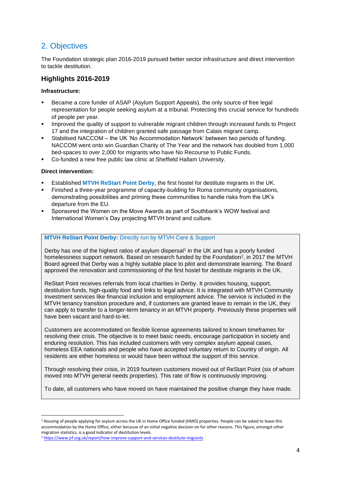## 2. Objectives

The Foundation strategic plan 2016-2019 pursued better sector infrastructure and direct intervention to tackle destitution.

### **Highlights 2016-2019**

#### **Infrastructure:**

- Became a core funder of ASAP (Asylum Support Appeals), the only source of free legal representation for people seeking asylum at a tribunal. Protecting this crucial service for hundreds of people per year.
- Improved the quality of support to vulnerable migrant children through increased funds to Project 17 and the integration of children granted safe passage from Calais migrant camp.
- Stabilised NACCOM the UK 'No Accommodation Network' between two periods of funding. NACCOM went onto win Guardian Charity of The Year and the network has doubled from 1,000 bed-spaces to over 2,000 for migrants who have No Recourse to Public Funds.
- Co-funded a new free public law clinic at Sheffield Hallam University.

#### **Direct intervention:**

- Established **MTVH ReStart Point Derby**, the first hostel for destitute migrants in the UK.
- Finished a three-year programme of capacity-building for Roma community organisations, demonstrating possibilities and priming these communities to handle risks from the UK's departure from the EU.
- Sponsored the Women on the Move Awards as part of Southbank's WOW festival and International Women's Day projecting MTVH brand and culture.

#### **MTVH ReStart Point Derby:** Directly run by MTVH Care & Support

Derby has one of the highest ratios of asylum dispersal<sup>1</sup> in the UK and has a poorly funded homelessness support network. Based on research funded by the Foundation<sup>2</sup>, in 2017 the MTVH Board agreed that Derby was a highly suitable place to pilot and demonstrate learning. The Board approved the renovation and commissioning of the first hostel for destitute migrants in the UK.

ReStart Point receives referrals from local charities in Derby. It provides housing, support, destitution funds, high-quality food and links to legal advice. It is integrated with MTVH Community Investment services like financial inclusion and employment advice. The service is included in the MTVH tenancy transition procedure and, if customers are granted leave to remain in the UK, they can apply to transfer to a longer-term tenancy in an MTVH property. Previously these properties will have been vacant and hard-to-let.

Customers are accommodated on flexible license agreements tailored to known timeframes for resolving their crisis. The objective is to meet basic needs, encourage participation in society and enduring resolution. This has included customers with very complex asylum appeal cases, homeless EEA nationals and people who have accepted voluntary return to Country of origin. All residents are either homeless or would have been without the support of this service.

Through resolving their crisis, in 2019 fourteen customers moved out of ReStart Point (six of whom moved into MTVH general needs properties). This rate of flow is continuously improving.

To date, all customers who have moved on have maintained the positive change they have made.

<sup>&</sup>lt;sup>1</sup> Housing of people applying for asylum across the UK in Home Office funded (HMO) properties. People can be asked to leave this accommodation by the Home Office, either because of an initial negative decision on for other reasons. This figure, amongst other migration statistics, is a good indicator of destitution levels.

<sup>2</sup> <https://www.jrf.org.uk/report/how-improve-support-and-services-destitute-migrants>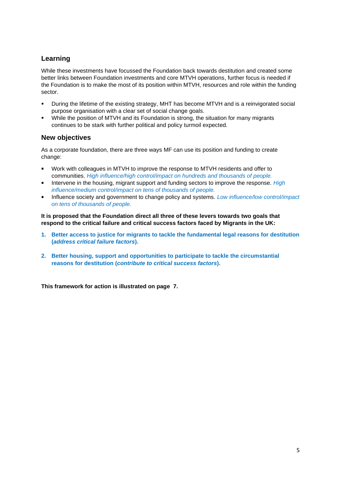### **Learning**

While these investments have focussed the Foundation back towards destitution and created some better links between Foundation investments and core MTVH operations, further focus is needed if the Foundation is to make the most of its position within MTVH, resources and role within the funding sector.

- During the lifetime of the existing strategy, MHT has become MTVH and is a reinvigorated social purpose organisation with a clear set of social change goals.
- While the position of MTVH and its Foundation is strong, the situation for many migrants continues to be stark with further political and policy turmoil expected.

### **New objectives**

As a corporate foundation, there are three ways MF can use its position and funding to create change:

- Work with colleagues in MTVH to improve the response to MTVH residents and offer to communities. *High influence/high control/impact on hundreds and thousands of people.*
- **EXECT** Intervene in the housing, migrant support and funding sectors to improve the response. *High influence/medium control/impact on tens of thousands of people.*
- Influence society and government to change policy and systems. *Low influence/low control/impact on tens of thousands of people.*

**It is proposed that the Foundation direct all three of these levers towards two goals that respond to the critical failure and critical success factors faced by Migrants in the UK:**

- **1. Better access to justice for migrants to tackle the fundamental legal reasons for destitution (***address critical failure factors***).**
- **2. Better housing, support and opportunities to participate to tackle the circumstantial reasons for destitution (***contribute to critical success factors***).**

**This framework for action is illustrated on page 7.**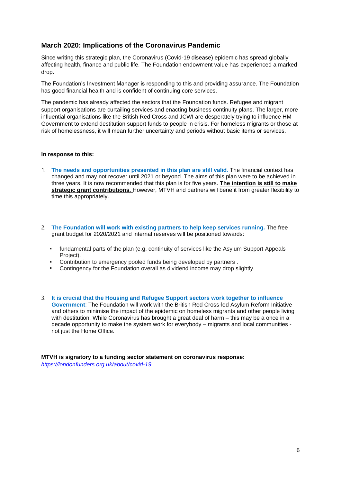#### **March 2020: Implications of the Coronavirus Pandemic**

Since writing this strategic plan, the Coronavirus (Covid-19 disease) epidemic has spread globally affecting health, finance and public life. The Foundation endowment value has experienced a marked drop.

The Foundation's Investment Manager is responding to this and providing assurance. The Foundation has good financial health and is confident of continuing core services.

The pandemic has already affected the sectors that the Foundation funds. Refugee and migrant support organisations are curtailing services and enacting business continuity plans. The larger, more influential organisations like the British Red Cross and JCWI are desperately trying to influence HM Government to extend destitution support funds to people in crisis. For homeless migrants or those at risk of homelessness, it will mean further uncertainty and periods without basic items or services.

#### **In response to this:**

- 1. **The needs and opportunities presented in this plan are still valid**. The financial context has changed and may not recover until 2021 or beyond. The aims of this plan were to be achieved in three years. It is now recommended that this plan is for five years. **The intention is still to make strategic grant contributions.** However, MTVH and partners will benefit from greater flexibility to time this appropriately.
- 2. **The Foundation will work with existing partners to help keep services running.** The free grant budget for 2020/2021 and internal reserves will be positioned towards:
	- fundamental parts of the plan (e.g. continuity of services like the Asylum Support Appeals Project).
	- Contribution to emergency pooled funds being developed by partners.
	- Contingency for the Foundation overall as dividend income may drop slightly.
- 3. **It is crucial that the Housing and Refugee Support sectors work together to influence Government**: The Foundation will work with the British Red Cross-led Asylum Reform Initiative and others to minimise the impact of the epidemic on homeless migrants and other people living with destitution. While Coronavirus has brought a great deal of harm – this may be a once in a decade opportunity to make the system work for everybody – migrants and local communities not just the Home Office.

**MTVH is signatory to a funding sector statement on coronavirus response:**  *<https://londonfunders.org.uk/about/covid-19>*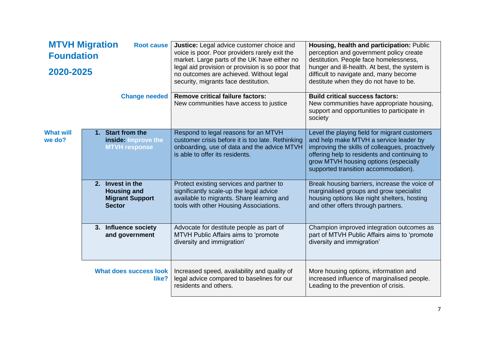| <b>MTVH Migration</b><br><b>Root cause</b><br><b>Foundation</b><br>2020-2025 |  |                                                                                   | <b>Justice:</b> Legal advice customer choice and<br>voice is poor. Poor providers rarely exit the<br>market. Large parts of the UK have either no<br>legal aid provision or provision is so poor that<br>no outcomes are achieved. Without legal<br>security, migrants face destitution. | Housing, health and participation: Public<br>perception and government policy create<br>destitution. People face homelessness,<br>hunger and ill-health. At best, the system is<br>difficult to navigate and, many become<br>destitute when they do not have to be.         |
|------------------------------------------------------------------------------|--|-----------------------------------------------------------------------------------|------------------------------------------------------------------------------------------------------------------------------------------------------------------------------------------------------------------------------------------------------------------------------------------|-----------------------------------------------------------------------------------------------------------------------------------------------------------------------------------------------------------------------------------------------------------------------------|
|                                                                              |  |                                                                                   |                                                                                                                                                                                                                                                                                          |                                                                                                                                                                                                                                                                             |
| <b>What will</b><br>we do?                                                   |  | 1. Start from the<br>inside: Improve the<br><b>MTVH response</b>                  | Respond to legal reasons for an MTVH<br>customer crisis before it is too late. Rethinking<br>onboarding, use of data and the advice MTVH<br>is able to offer its residents.                                                                                                              | Level the playing field for migrant customers<br>and help make MTVH a service leader by<br>improving the skills of colleagues, proactively<br>offering help to residents and continuing to<br>grow MTVH housing options (especially<br>supported transition accommodation). |
|                                                                              |  | 2. Invest in the<br><b>Housing and</b><br><b>Migrant Support</b><br><b>Sector</b> | Protect existing services and partner to<br>significantly scale-up the legal advice<br>available to migrants. Share learning and<br>tools with other Housing Associations.                                                                                                               | Break housing barriers, increase the voice of<br>marginalised groups and grow specialist<br>housing options like night shelters, hosting<br>and other offers through partners.                                                                                              |
|                                                                              |  | 3. Influence society<br>and government                                            | Advocate for destitute people as part of<br>MTVH Public Affairs aims to 'promote<br>diversity and immigration'                                                                                                                                                                           | Champion improved integration outcomes as<br>part of MTVH Public Affairs aims to 'promote<br>diversity and immigration'                                                                                                                                                     |
|                                                                              |  | What does success look<br>like?                                                   | Increased speed, availability and quality of<br>legal advice compared to baselines for our<br>residents and others.                                                                                                                                                                      | More housing options, information and<br>increased influence of marginalised people.<br>Leading to the prevention of crisis.                                                                                                                                                |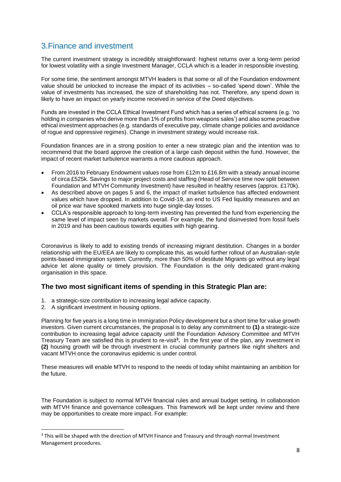### 3.Finance and investment

The current investment strategy is incredibly straightforward: highest returns over a long-term period for lowest volatility with a single Investment Manager, CCLA which is a leader in responsible investing.

For some time, the sentiment amongst MTVH leaders is that some or all of the Foundation endowment value should be unlocked to increase the impact of its activities – so-called 'spend down'. While the value of investments has increased, the size of shareholding has not. Therefore, any spend down is likely to have an impact on yearly income received in service of the Deed objectives.

Funds are invested in the CCLA Ethical Investment Fund which has a series of ethical screens (e.g. 'no holding in companies who derive more than 1% of profits from weapons sales') and also some proactive ethical investment approaches (e.g. standards of executive pay, climate change policies and avoidance of rogue and oppressive regimes). Change in investment strategy would increase risk.

Foundation finances are in a strong position to enter a new strategic plan and the intention was to recommend that the board approve the creation of a large cash deposit within the fund. However, the impact of recent market turbulence warrants a more cautious approach.

- From 2016 to February Endowment values rose from £12m to £16.8m with a steady annual income of circa £525k. Savings to major project costs and staffing (Head of Service time now split between Foundation and MTVH Community Investment) have resulted in healthy reserves (approx. £170k).
- As described above on pages 5 and 6, the impact of market turbulence has affected endowment values which have dropped. In addition to Covid-19, an end to US Fed liquidity measures and an oil price war have spooked markets into huge single-day losses.
- CCLA's responsible approach to long-term investing has prevented the fund from experiencing the same level of impact seen by markets overall. For example, the fund disinvested from fossil fuels in 2019 and has been cautious towards equities with high gearing.

Coronavirus is likely to add to existing trends of increasing migrant destitution. Changes in a border relationship with the EU/EEA are likely to complicate this, as would further rollout of an Australian-style points-based immigration system. Currently, more than 50% of destitute Migrants go without any legal advice let alone quality or timely provision. The Foundation is the only dedicated grant-making organisation in this space.

### **The two most significant items of spending in this Strategic Plan are:**

- 1. a strategic-size contribution to increasing legal advice capacity.
- 2. A significant investment in housing options.

Planning for five years is a long time in Immigration Policy development but a short time for value growth investors. Given current circumstances, the proposal is to delay any commitment to **(1)** a strategic-size contribution to increasing legal advice capacity until the Foundation Advisory Committee and MTVH Treasury Team are satisfied this is prudent to re-visit**<sup>3</sup> .** In the first year of the plan, any investment in **(2)** housing growth will be through investment in crucial community partners like night shelters and vacant MTVH once the coronavirus epidemic is under control.

These measures will enable MTVH to respond to the needs of today whilst maintaining an ambition for the future.

The Foundation is subject to normal MTVH financial rules and annual budget setting. In collaboration with MTVH finance and governance colleagues. This framework will be kept under review and there may be opportunities to create more impact. For example:

<sup>&</sup>lt;sup>3</sup> This will be shaped with the direction of MTVH Finance and Treasury and through normal Investment Management procedures.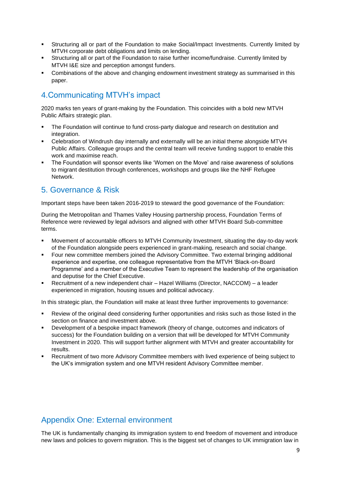- Structuring all or part of the Foundation to make Social/Impact Investments. Currently limited by MTVH corporate debt obligations and limits on lending.
- Structuring all or part of the Foundation to raise further income/fundraise. Currently limited by MTVH I&E size and perception amongst funders.
- Combinations of the above and changing endowment investment strategy as summarised in this paper.

## 4.Communicating MTVH's impact

2020 marks ten years of grant-making by the Foundation. This coincides with a bold new MTVH Public Affairs strategic plan.

- The Foundation will continue to fund cross-party dialogue and research on destitution and integration.
- Celebration of Windrush day internally and externally will be an initial theme alongside MTVH Public Affairs. Colleague groups and the central team will receive funding support to enable this work and maximise reach.
- The Foundation will sponsor events like 'Women on the Move' and raise awareness of solutions to migrant destitution through conferences, workshops and groups like the NHF Refugee Network.

### 5. Governance & Risk

Important steps have been taken 2016-2019 to steward the good governance of the Foundation:

During the Metropolitan and Thames Valley Housing partnership process, Foundation Terms of Reference were reviewed by legal advisors and aligned with other MTVH Board Sub-committee terms.

- Movement of accountable officers to MTVH Community Investment, situating the day-to-day work of the Foundation alongside peers experienced in grant-making, research and social change.
- Four new committee members joined the Advisory Committee. Two external bringing additional experience and expertise, one colleague representative from the MTVH 'Black-on-Board Programme' and a member of the Executive Team to represent the leadership of the organisation and deputise for the Chief Executive.
- Recruitment of a new independent chair Hazel Williams (Director, NACCOM) a leader experienced in migration, housing issues and political advocacy.

In this strategic plan, the Foundation will make at least three further improvements to governance:

- Review of the original deed considering further opportunities and risks such as those listed in the section on finance and investment above.
- Development of a bespoke impact framework (theory of change, outcomes and indicators of success) for the Foundation building on a version that will be developed for MTVH Community Investment in 2020. This will support further alignment with MTVH and greater accountability for results.
- Recruitment of two more Advisory Committee members with lived experience of being subject to the UK's immigration system and one MTVH resident Advisory Committee member.

## Appendix One: External environment

The UK is fundamentally changing its immigration system to end freedom of movement and introduce new laws and policies to govern migration. This is the biggest set of changes to UK immigration law in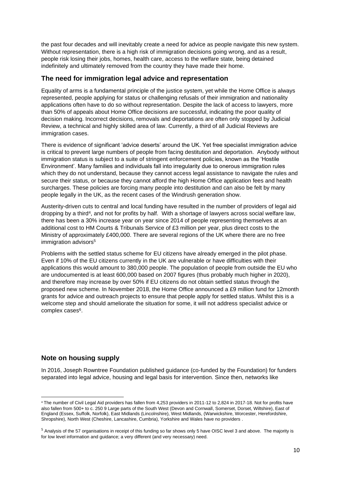the past four decades and will inevitably create a need for advice as people navigate this new system. Without representation, there is a high risk of immigration decisions going wrong, and as a result, people risk losing their jobs, homes, health care, access to the welfare state, being detained indefinitely and ultimately removed from the country they have made their home.

#### **The need for immigration legal advice and representation**

Equality of arms is a fundamental principle of the justice system, yet while the Home Office is always represented, people applying for status or challenging refusals of their immigration and nationality applications often have to do so without representation. Despite the lack of access to lawyers, more than 50% of appeals about Home Office decisions are successful, indicating the poor quality of decision making. Incorrect decisions, removals and deportations are often only stopped by Judicial Review, a technical and highly skilled area of law. Currently, a third of all Judicial Reviews are immigration cases.

There is evidence of significant 'advice deserts' around the UK. Yet free specialist immigration advice is critical to prevent large numbers of people from facing destitution and deportation. Anybody without immigration status is subject to a suite of stringent enforcement policies, known as the 'Hostile Environment'. Many families and individuals fall into irregularity due to onerous immigration rules which they do not understand, because they cannot access legal assistance to navigate the rules and secure their status, or because they cannot afford the high Home Office application fees and health surcharges. These policies are forcing many people into destitution and can also be felt by many people legally in the UK, as the recent cases of the Windrush generation show.

Austerity-driven cuts to central and local funding have resulted in the number of providers of legal aid dropping by a third<sup>4</sup>, and not for profits by half. With a shortage of lawyers across social welfare law, there has been a 30% increase year on year since 2014 of people representing themselves at an additional cost to HM Courts & Tribunals Service of £3 million per year, plus direct costs to the Ministry of approximately £400,000. There are several regions of the UK where there are no free immigration advisors<sup>5</sup>

Problems with the settled status scheme for EU citizens have already emerged in the pilot phase. Even if 10% of the EU citizens currently in the UK are vulnerable or have difficulties with their applications this would amount to 380,000 people. The population of people from outside the EU who are undocumented is at least 600,000 based on 2007 figures (thus probably much higher in 2020). and therefore may increase by over 50% if EU citizens do not obtain settled status through the proposed new scheme. In November 2018, the Home Office announced a £9 million fund for 12month grants for advice and outreach projects to ensure that people apply for settled status. Whilst this is a welcome step and should ameliorate the situation for some, it will not address specialist advice or complex cases<sup>6</sup>.

### **Note on housing supply**

In 2016, Joseph Rowntree Foundation published guidance (co-funded by the Foundation) for funders separated into legal advice, housing and legal basis for intervention. Since then, networks like

<sup>4</sup> The number of Civil Legal Aid providers has fallen from 4,253 providers in 2011-12 to 2,824 in 2017-18. Not for profits have also fallen from 500+ to c. 250 9 Large parts of the South West (Devon and Cornwall, Somerset, Dorset, Wiltshire), East of England (Essex, Suffolk, Norfolk), East Midlands (Lincolnshire), West Midlands, (Warwickshire, Worcester, Herefordshire, Shropshire), North West (Cheshire, Lancashire, Cumbria), Yorkshire and Wales have no providers .

<sup>&</sup>lt;sup>5</sup> Analysis of the 57 organisations in receipt of this funding so far shows only 5 have OISC level 3 and above. The majority is for low level information and guidance; a very different (and very necessary) need.